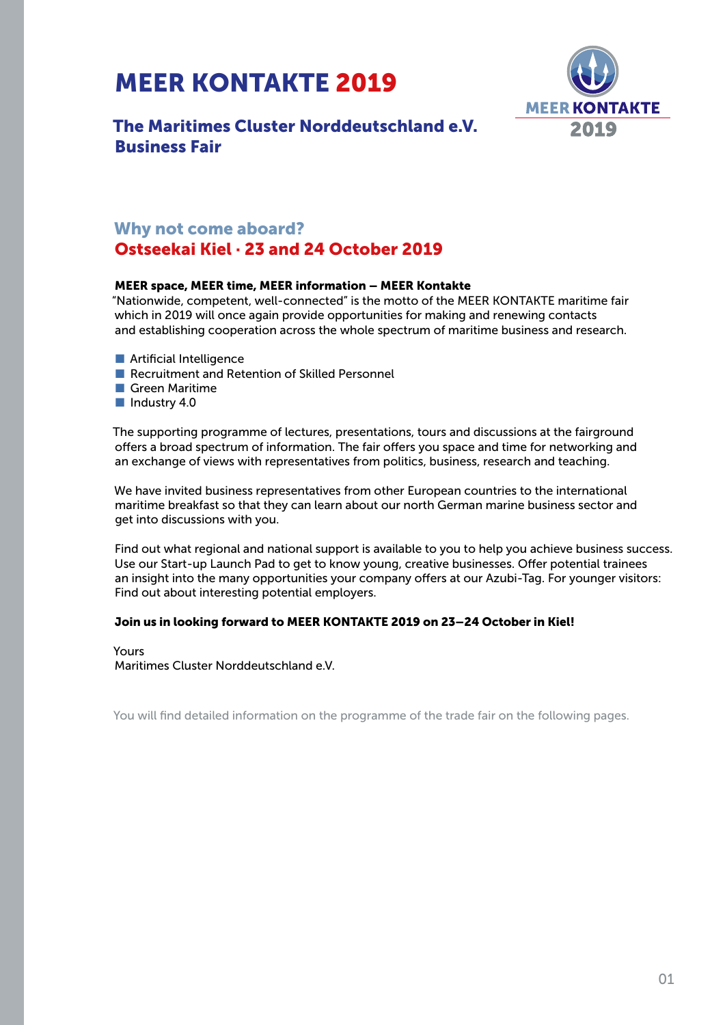# MEER KONTAKTE 2019



# The Maritimes Cluster Norddeutschland e.V. Business Fair

# Why not come aboard?

# Ostseekai Kiel · 23 and 24 October 2019

# MEER space, MEER time, MEER information – MEER Kontakte

"Nationwide, competent, well-connected" is the motto of the MEER KONTAKTE maritime fair which in 2019 will once again provide opportunities for making and renewing contacts and establishing cooperation across the whole spectrum of maritime business and research.

- Artificial Intelligence
- Recruitment and Retention of Skilled Personnel
- Green Maritime
- Industry 4.0

The supporting programme of lectures, presentations, tours and discussions at the fairground offers a broad spectrum of information. The fair offers you space and time for networking and an exchange of views with representatives from politics, business, research and teaching.

We have invited business representatives from other European countries to the international maritime breakfast so that they can learn about our north German marine business sector and get into discussions with you.

Find out what regional and national support is available to you to help you achieve business success. Use our Start-up Launch Pad to get to know young, creative businesses. Offer potential trainees an insight into the many opportunities your company offers at our Azubi-Tag. For younger visitors: Find out about interesting potential employers.

# Join us in looking forward to MEER KONTAKTE 2019 on 23–24 October in Kiel!

Yours Maritimes Cluster Norddeutschland e.V.

You will find detailed information on the programme of the trade fair on the following pages.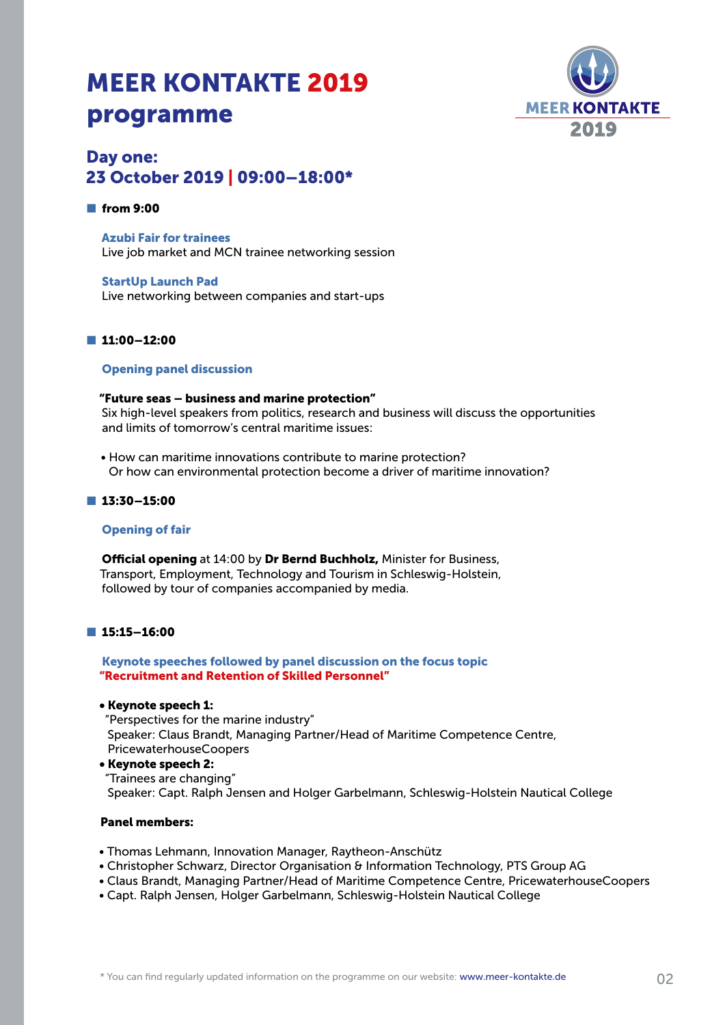# MEER KONTAKTE 2019 programme



# Day one: 23 October 2019 | 09:00–18:00\*

#### ■ from 9:00

Azubi Fair for trainees Live job market and MCN trainee networking session

StartUp Launch Pad Live networking between companies and start-ups

# ■ 11:00–12:00

## Opening panel discussion

#### "Future seas – business and marine protection"

Six high-level speakers from politics, research and business will discuss the opportunities and limits of tomorrow's central maritime issues:

• How can maritime innovations contribute to marine protection? Or how can environmental protection become a driver of maritime innovation?

## ■ 13:30–15:00

#### Opening of fair

Official opening at 14:00 by Dr Bernd Buchholz, Minister for Business, Transport, Employment, Technology and Tourism in Schleswig-Holstein, followed by tour of companies accompanied by media.

#### ■ 15:15–16:00

Keynote speeches followed by panel discussion on the focus topic "Recruitment and Retention of Skilled Personnel"

#### • Keynote speech 1:

"Perspectives for the marine industry" Speaker: Claus Brandt, Managing Partner/Head of Maritime Competence Centre, PricewaterhouseCoopers

# • Keynote speech 2:

"Trainees are changing" Speaker: Capt. Ralph Jensen and Holger Garbelmann, Schleswig-Holstein Nautical College

# Panel members:

- Thomas Lehmann, Innovation Manager, Raytheon-Anschütz
- Christopher Schwarz, Director Organisation & Information Technology, PTS Group AG
- Claus Brandt, Managing Partner/Head of Maritime Competence Centre, PricewaterhouseCoopers
- Capt. Ralph Jensen, Holger Garbelmann, Schleswig-Holstein Nautical College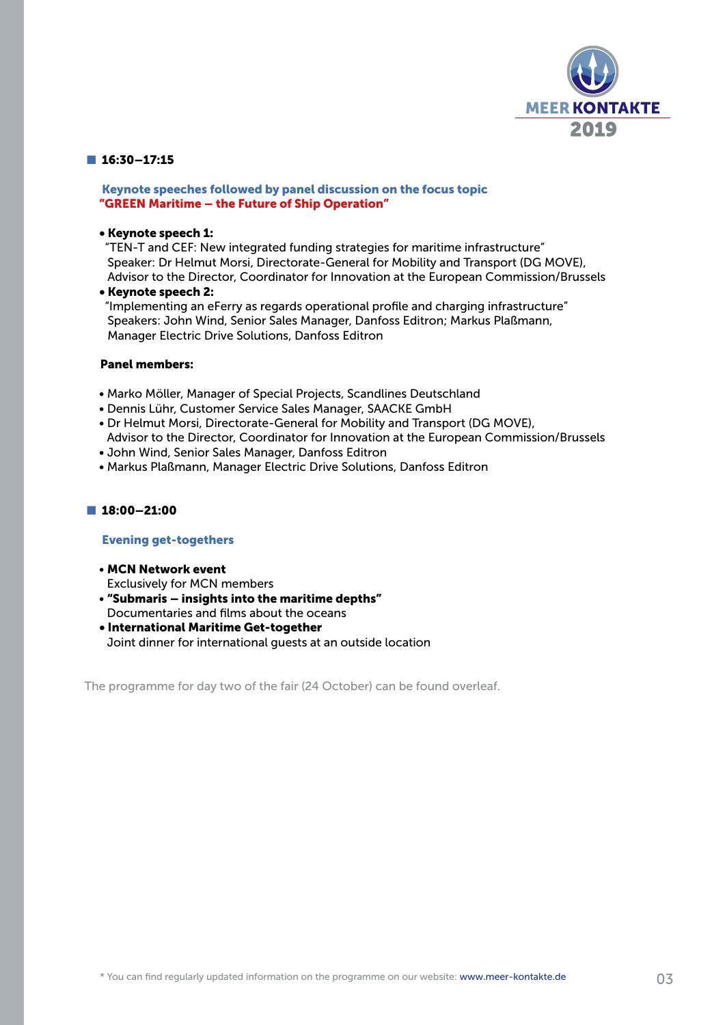

## ■ 16:30-17:15

## Keynote speeches followed by panel discussion on the focus topic "GREEN Maritime – the Future of Ship Operation"

## • Keynote speech 1:

"TEN-T and CEF: New integrated funding strategies for maritime infrastructure" Speaker: Dr Helmut Morsi, Directorate-General for Mobility and Transport (DG MOVE), Advisor to the Director, Coordinator for Innovation at the European Commission/Brussels

#### • Keynote speech 2:

"Implementing an eFerry as regards operational profile and charging infrastructure" Speakers: John Wind, Senior Sales Manager, Danfoss Editron; Markus Plaßmann, Manager Electric Drive Solutions, Danfoss Editron

#### Panel members:

- Marko Möller, Manager of Special Projects, Scandlines Deutschland
- Dennis Lühr, Customer Service Sales Manager, SAACKE GmbH
- Dr Helmut Morsi, Directorate-General for Mobility and Transport (DG MOVE), Advisor to the Director, Coordinator for Innovation at the European Commission/Brussels
- John Wind, Senior Sales Manager, Danfoss Editron
- Markus Plaßmann, Manager Electric Drive Solutions, Danfoss Editron

# ■ 18:00–21:00

#### Evening get-togethers

- MCN Network event Exclusively for MCN members
- "Submaris insights into the maritime depths" Documentaries and films about the oceans
- International Maritime Get-together Joint dinner for international guests at an outside location

The programme for day two of the fair (24 October) can be found overleaf.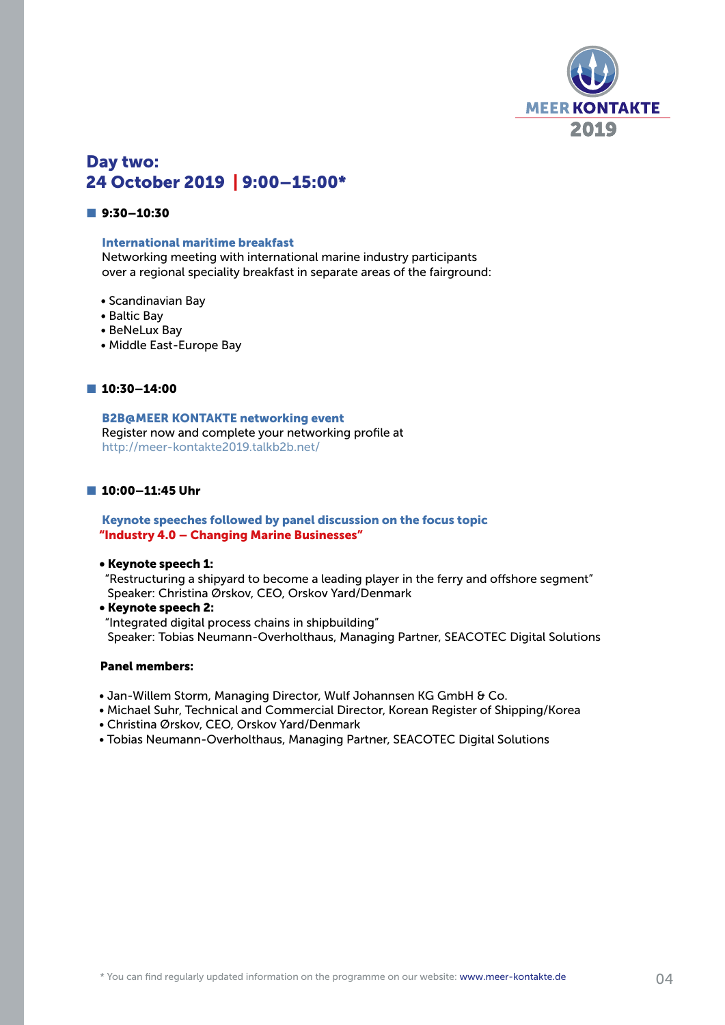

# Day two: 24 October 2019 | 9:00–15:00\*

## ■ 9:30-10:30

#### International maritime breakfast

Networking meeting with international marine industry participants over a regional speciality breakfast in separate areas of the fairground:

- Scandinavian Bay
- Baltic Bay
- BeNeLux Bay
- Middle East-Europe Bay

#### ■ 10:30-14:00

B2B@MEER KONTAKTE networking event Register now and complete your networking profile at http://meer-kontakte2019.talkb2b.net/

#### ■ 10:00-11:45 Uhr

#### Keynote speeches followed by panel discussion on the focus topic "Industry 4.0 – Changing Marine Businesses"

#### • Keynote speech 1:

"Restructuring a shipyard to become a leading player in the ferry and offshore segment" Speaker: Christina Ørskov, CEO, Orskov Yard/Denmark

• Keynote speech 2:

"Integrated digital process chains in shipbuilding" Speaker: Tobias Neumann-Overholthaus, Managing Partner, SEACOTEC Digital Solutions

#### Panel members:

- Jan-Willem Storm, Managing Director, Wulf Johannsen KG GmbH & Co.
- Michael Suhr, Technical and Commercial Director, Korean Register of Shipping/Korea
- Christina Ørskov, CEO, Orskov Yard/Denmark
- Tobias Neumann-Overholthaus, Managing Partner, SEACOTEC Digital Solutions